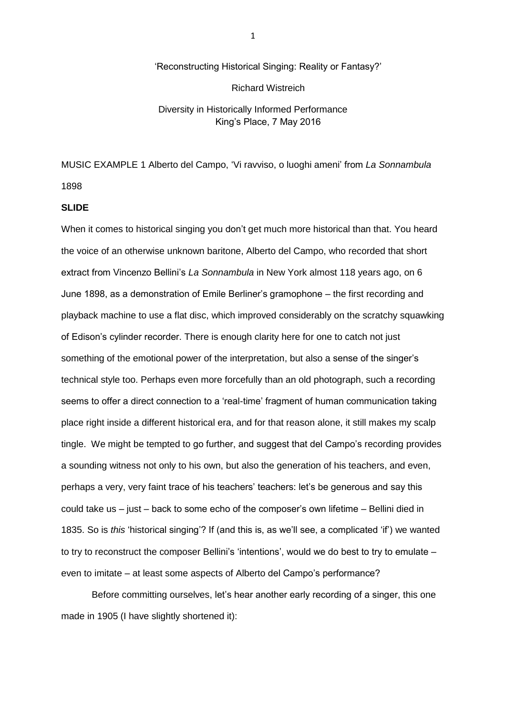# 'Reconstructing Historical Singing: Reality or Fantasy?' Richard Wistreich

## Diversity in Historically Informed Performance King's Place, 7 May 2016

MUSIC EXAMPLE 1 Alberto del Campo, 'Vi ravviso, o luoghi ameni' from *La Sonnambula*

1898

#### **SLIDE**

When it comes to historical singing you don't get much more historical than that. You heard the voice of an otherwise unknown baritone, Alberto del Campo, who recorded that short extract from Vincenzo Bellini's *La Sonnambula* in New York almost 118 years ago, on 6 June 1898, as a demonstration of Emile Berliner's gramophone – the first recording and playback machine to use a flat disc, which improved considerably on the scratchy squawking of Edison's cylinder recorder. There is enough clarity here for one to catch not just something of the emotional power of the interpretation, but also a sense of the singer's technical style too. Perhaps even more forcefully than an old photograph, such a recording seems to offer a direct connection to a 'real-time' fragment of human communication taking place right inside a different historical era, and for that reason alone, it still makes my scalp tingle. We might be tempted to go further, and suggest that del Campo's recording provides a sounding witness not only to his own, but also the generation of his teachers, and even, perhaps a very, very faint trace of his teachers' teachers: let's be generous and say this could take us – just – back to some echo of the composer's own lifetime – Bellini died in 1835. So is *this* 'historical singing'? If (and this is, as we'll see, a complicated 'if') we wanted to try to reconstruct the composer Bellini's 'intentions', would we do best to try to emulate – even to imitate – at least some aspects of Alberto del Campo's performance?

Before committing ourselves, let's hear another early recording of a singer, this one made in 1905 (I have slightly shortened it):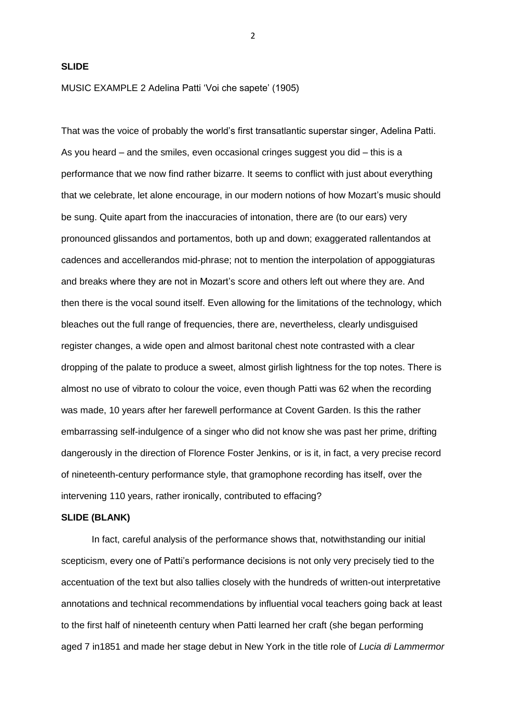2

#### **SLIDE**

MUSIC EXAMPLE 2 Adelina Patti 'Voi che sapete' (1905)

That was the voice of probably the world's first transatlantic superstar singer, Adelina Patti. As you heard – and the smiles, even occasional cringes suggest you did – this is a performance that we now find rather bizarre. It seems to conflict with just about everything that we celebrate, let alone encourage, in our modern notions of how Mozart's music should be sung. Quite apart from the inaccuracies of intonation, there are (to our ears) very pronounced glissandos and portamentos, both up and down; exaggerated rallentandos at cadences and accellerandos mid-phrase; not to mention the interpolation of appoggiaturas and breaks where they are not in Mozart's score and others left out where they are. And then there is the vocal sound itself. Even allowing for the limitations of the technology, which bleaches out the full range of frequencies, there are, nevertheless, clearly undisguised register changes, a wide open and almost baritonal chest note contrasted with a clear dropping of the palate to produce a sweet, almost girlish lightness for the top notes. There is almost no use of vibrato to colour the voice, even though Patti was 62 when the recording was made, 10 years after her farewell performance at Covent Garden. Is this the rather embarrassing self-indulgence of a singer who did not know she was past her prime, drifting dangerously in the direction of Florence Foster Jenkins, or is it, in fact, a very precise record of nineteenth-century performance style, that gramophone recording has itself, over the intervening 110 years, rather ironically, contributed to effacing?

#### **SLIDE (BLANK)**

In fact, careful analysis of the performance shows that, notwithstanding our initial scepticism, every one of Patti's performance decisions is not only very precisely tied to the accentuation of the text but also tallies closely with the hundreds of written-out interpretative annotations and technical recommendations by influential vocal teachers going back at least to the first half of nineteenth century when Patti learned her craft (she began performing aged 7 in1851 and made her stage debut in New York in the title role of *Lucia di Lammermor*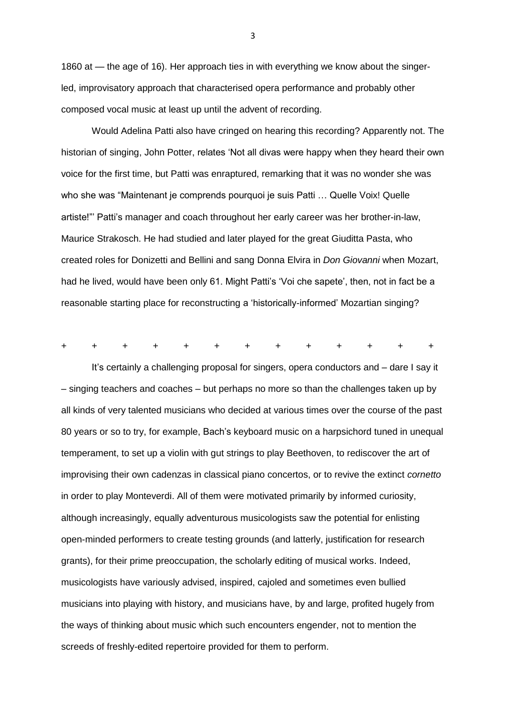1860 at — the age of 16). Her approach ties in with everything we know about the singerled, improvisatory approach that characterised opera performance and probably other composed vocal music at least up until the advent of recording.

Would Adelina Patti also have cringed on hearing this recording? Apparently not. The historian of singing, John Potter, relates 'Not all divas were happy when they heard their own voice for the first time, but Patti was enraptured, remarking that it was no wonder she was who she was "Maintenant je comprends pourquoi je suis Patti … Quelle Voix! Quelle artiste!"' Patti's manager and coach throughout her early career was her brother-in-law, Maurice Strakosch. He had studied and later played for the great Giuditta Pasta, who created roles for Donizetti and Bellini and sang Donna Elvira in *Don Giovanni* when Mozart, had he lived, would have been only 61. Might Patti's 'Voi che sapete', then, not in fact be a reasonable starting place for reconstructing a 'historically-informed' Mozartian singing?

+ + + + + + + + + + + + +

It's certainly a challenging proposal for singers, opera conductors and – dare I say it – singing teachers and coaches – but perhaps no more so than the challenges taken up by all kinds of very talented musicians who decided at various times over the course of the past 80 years or so to try, for example, Bach's keyboard music on a harpsichord tuned in unequal temperament, to set up a violin with gut strings to play Beethoven, to rediscover the art of improvising their own cadenzas in classical piano concertos, or to revive the extinct *cornetto* in order to play Monteverdi. All of them were motivated primarily by informed curiosity, although increasingly, equally adventurous musicologists saw the potential for enlisting open-minded performers to create testing grounds (and latterly, justification for research grants), for their prime preoccupation, the scholarly editing of musical works. Indeed, musicologists have variously advised, inspired, cajoled and sometimes even bullied musicians into playing with history, and musicians have, by and large, profited hugely from the ways of thinking about music which such encounters engender, not to mention the screeds of freshly-edited repertoire provided for them to perform.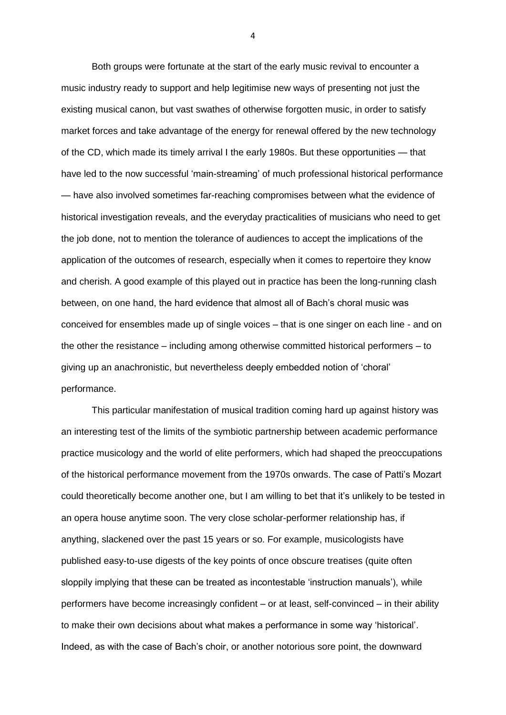Both groups were fortunate at the start of the early music revival to encounter a music industry ready to support and help legitimise new ways of presenting not just the existing musical canon, but vast swathes of otherwise forgotten music, in order to satisfy market forces and take advantage of the energy for renewal offered by the new technology of the CD, which made its timely arrival I the early 1980s. But these opportunities — that have led to the now successful 'main-streaming' of much professional historical performance — have also involved sometimes far-reaching compromises between what the evidence of historical investigation reveals, and the everyday practicalities of musicians who need to get the job done, not to mention the tolerance of audiences to accept the implications of the application of the outcomes of research, especially when it comes to repertoire they know and cherish. A good example of this played out in practice has been the long-running clash between, on one hand, the hard evidence that almost all of Bach's choral music was conceived for ensembles made up of single voices – that is one singer on each line - and on the other the resistance – including among otherwise committed historical performers – to giving up an anachronistic, but nevertheless deeply embedded notion of 'choral' performance.

This particular manifestation of musical tradition coming hard up against history was an interesting test of the limits of the symbiotic partnership between academic performance practice musicology and the world of elite performers, which had shaped the preoccupations of the historical performance movement from the 1970s onwards. The case of Patti's Mozart could theoretically become another one, but I am willing to bet that it's unlikely to be tested in an opera house anytime soon. The very close scholar-performer relationship has, if anything, slackened over the past 15 years or so. For example, musicologists have published easy-to-use digests of the key points of once obscure treatises (quite often sloppily implying that these can be treated as incontestable 'instruction manuals'), while performers have become increasingly confident – or at least, self-convinced – in their ability to make their own decisions about what makes a performance in some way 'historical'. Indeed, as with the case of Bach's choir, or another notorious sore point, the downward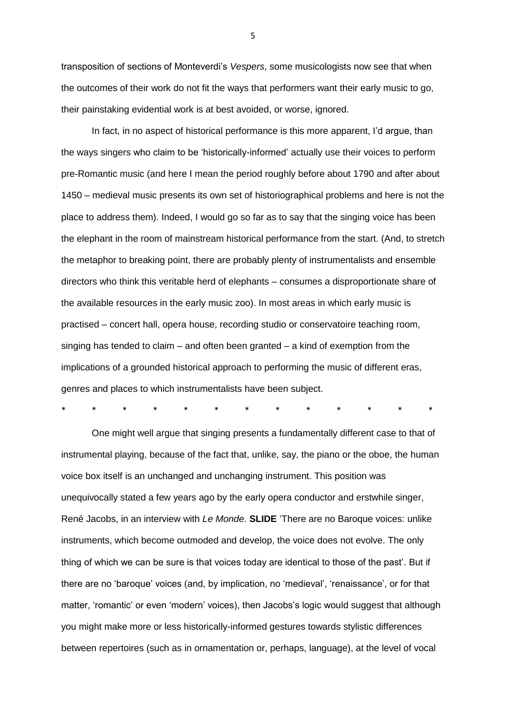transposition of sections of Monteverdi's *Vespers*, some musicologists now see that when the outcomes of their work do not fit the ways that performers want their early music to go, their painstaking evidential work is at best avoided, or worse, ignored.

In fact, in no aspect of historical performance is this more apparent, I'd argue, than the ways singers who claim to be 'historically-informed' actually use their voices to perform pre-Romantic music (and here I mean the period roughly before about 1790 and after about 1450 – medieval music presents its own set of historiographical problems and here is not the place to address them). Indeed, I would go so far as to say that the singing voice has been the elephant in the room of mainstream historical performance from the start. (And, to stretch the metaphor to breaking point, there are probably plenty of instrumentalists and ensemble directors who think this veritable herd of elephants – consumes a disproportionate share of the available resources in the early music zoo). In most areas in which early music is practised – concert hall, opera house, recording studio or conservatoire teaching room, singing has tended to claim – and often been granted – a kind of exemption from the implications of a grounded historical approach to performing the music of different eras, genres and places to which instrumentalists have been subject.

\* \* \* \* \* \* \* \* \* \* \* \* \*

One might well argue that singing presents a fundamentally different case to that of instrumental playing, because of the fact that, unlike, say, the piano or the oboe, the human voice box itself is an unchanged and unchanging instrument. This position was unequivocally stated a few years ago by the early opera conductor and erstwhile singer, René Jacobs, in an interview with *Le Monde*. **SLIDE** 'There are no Baroque voices: unlike instruments, which become outmoded and develop, the voice does not evolve. The only thing of which we can be sure is that voices today are identical to those of the past'. But if there are no 'baroque' voices (and, by implication, no 'medieval', 'renaissance', or for that matter, 'romantic' or even 'modern' voices), then Jacobs's logic would suggest that although you might make more or less historically-informed gestures towards stylistic differences between repertoires (such as in ornamentation or, perhaps, language), at the level of vocal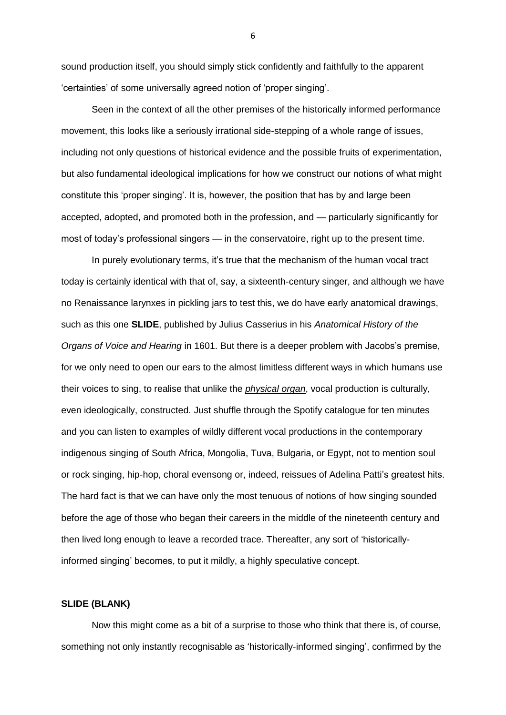sound production itself, you should simply stick confidently and faithfully to the apparent 'certainties' of some universally agreed notion of 'proper singing'.

Seen in the context of all the other premises of the historically informed performance movement, this looks like a seriously irrational side-stepping of a whole range of issues, including not only questions of historical evidence and the possible fruits of experimentation, but also fundamental ideological implications for how we construct our notions of what might constitute this 'proper singing'. It is, however, the position that has by and large been accepted, adopted, and promoted both in the profession, and — particularly significantly for most of today's professional singers — in the conservatoire, right up to the present time.

In purely evolutionary terms, it's true that the mechanism of the human vocal tract today is certainly identical with that of, say, a sixteenth-century singer, and although we have no Renaissance larynxes in pickling jars to test this, we do have early anatomical drawings, such as this one **SLIDE**, published by Julius Casserius in his *Anatomical History of the Organs of Voice and Hearing* in 1601. But there is a deeper problem with Jacobs's premise, for we only need to open our ears to the almost limitless different ways in which humans use their voices to sing, to realise that unlike the *physical organ*, vocal production is culturally, even ideologically, constructed. Just shuffle through the Spotify catalogue for ten minutes and you can listen to examples of wildly different vocal productions in the contemporary indigenous singing of South Africa, Mongolia, Tuva, Bulgaria, or Egypt, not to mention soul or rock singing, hip-hop, choral evensong or, indeed, reissues of Adelina Patti's greatest hits. The hard fact is that we can have only the most tenuous of notions of how singing sounded before the age of those who began their careers in the middle of the nineteenth century and then lived long enough to leave a recorded trace. Thereafter, any sort of 'historicallyinformed singing' becomes, to put it mildly, a highly speculative concept.

### **SLIDE (BLANK)**

Now this might come as a bit of a surprise to those who think that there is, of course, something not only instantly recognisable as 'historically-informed singing', confirmed by the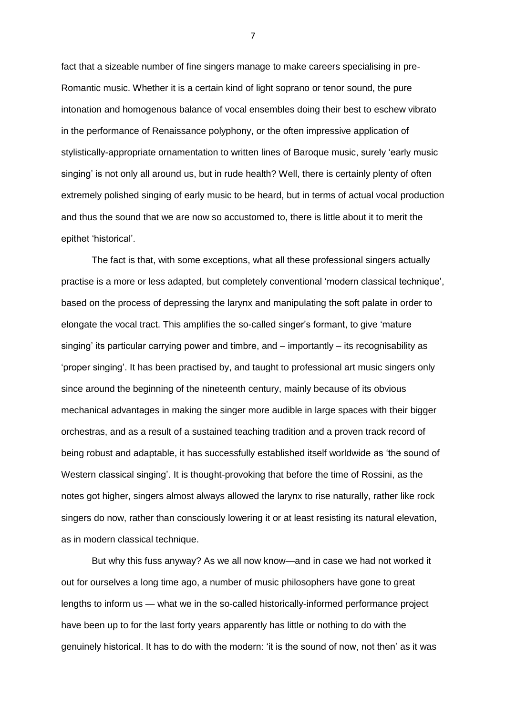fact that a sizeable number of fine singers manage to make careers specialising in pre-Romantic music. Whether it is a certain kind of light soprano or tenor sound, the pure intonation and homogenous balance of vocal ensembles doing their best to eschew vibrato in the performance of Renaissance polyphony, or the often impressive application of stylistically-appropriate ornamentation to written lines of Baroque music, surely 'early music singing' is not only all around us, but in rude health? Well, there is certainly plenty of often extremely polished singing of early music to be heard, but in terms of actual vocal production and thus the sound that we are now so accustomed to, there is little about it to merit the epithet 'historical'.

The fact is that, with some exceptions, what all these professional singers actually practise is a more or less adapted, but completely conventional 'modern classical technique', based on the process of depressing the larynx and manipulating the soft palate in order to elongate the vocal tract. This amplifies the so-called singer's formant, to give 'mature singing' its particular carrying power and timbre, and – importantly – its recognisability as 'proper singing'. It has been practised by, and taught to professional art music singers only since around the beginning of the nineteenth century, mainly because of its obvious mechanical advantages in making the singer more audible in large spaces with their bigger orchestras, and as a result of a sustained teaching tradition and a proven track record of being robust and adaptable, it has successfully established itself worldwide as 'the sound of Western classical singing'. It is thought-provoking that before the time of Rossini, as the notes got higher, singers almost always allowed the larynx to rise naturally, rather like rock singers do now, rather than consciously lowering it or at least resisting its natural elevation, as in modern classical technique.

But why this fuss anyway? As we all now know—and in case we had not worked it out for ourselves a long time ago, a number of music philosophers have gone to great lengths to inform us — what we in the so-called historically-informed performance project have been up to for the last forty years apparently has little or nothing to do with the genuinely historical. It has to do with the modern: 'it is the sound of now, not then' as it was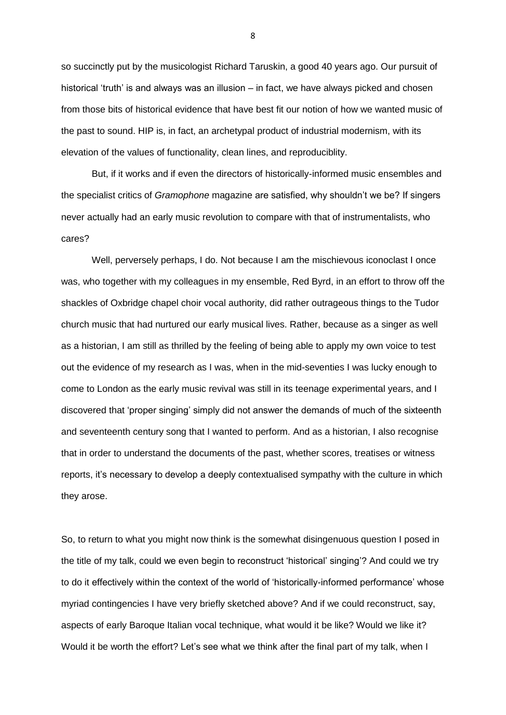so succinctly put by the musicologist Richard Taruskin, a good 40 years ago. Our pursuit of historical 'truth' is and always was an illusion – in fact, we have always picked and chosen from those bits of historical evidence that have best fit our notion of how we wanted music of the past to sound. HIP is, in fact, an archetypal product of industrial modernism, with its elevation of the values of functionality, clean lines, and reproduciblity.

But, if it works and if even the directors of historically-informed music ensembles and the specialist critics of *Gramophone* magazine are satisfied, why shouldn't we be? If singers never actually had an early music revolution to compare with that of instrumentalists, who cares?

Well, perversely perhaps, I do. Not because I am the mischievous iconoclast I once was, who together with my colleagues in my ensemble, Red Byrd, in an effort to throw off the shackles of Oxbridge chapel choir vocal authority, did rather outrageous things to the Tudor church music that had nurtured our early musical lives. Rather, because as a singer as well as a historian, I am still as thrilled by the feeling of being able to apply my own voice to test out the evidence of my research as I was, when in the mid-seventies I was lucky enough to come to London as the early music revival was still in its teenage experimental years, and I discovered that 'proper singing' simply did not answer the demands of much of the sixteenth and seventeenth century song that I wanted to perform. And as a historian, I also recognise that in order to understand the documents of the past, whether scores, treatises or witness reports, it's necessary to develop a deeply contextualised sympathy with the culture in which they arose.

So, to return to what you might now think is the somewhat disingenuous question I posed in the title of my talk, could we even begin to reconstruct 'historical' singing'? And could we try to do it effectively within the context of the world of 'historically-informed performance' whose myriad contingencies I have very briefly sketched above? And if we could reconstruct, say, aspects of early Baroque Italian vocal technique, what would it be like? Would we like it? Would it be worth the effort? Let's see what we think after the final part of my talk, when I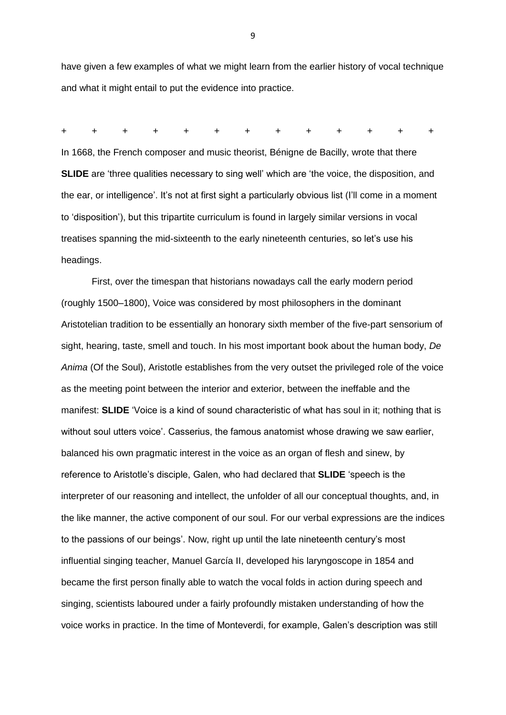have given a few examples of what we might learn from the earlier history of vocal technique and what it might entail to put the evidence into practice.

+ + + + + + + + + + + + +

In 1668, the French composer and music theorist, Bénigne de Bacilly, wrote that there **SLIDE** are 'three qualities necessary to sing well' which are 'the voice, the disposition, and the ear, or intelligence'. It's not at first sight a particularly obvious list (I'll come in a moment to 'disposition'), but this tripartite curriculum is found in largely similar versions in vocal treatises spanning the mid-sixteenth to the early nineteenth centuries, so let's use his headings.

First, over the timespan that historians nowadays call the early modern period (roughly 1500–1800), Voice was considered by most philosophers in the dominant Aristotelian tradition to be essentially an honorary sixth member of the five-part sensorium of sight, hearing, taste, smell and touch. In his most important book about the human body, *De Anima* (Of the Soul), Aristotle establishes from the very outset the privileged role of the voice as the meeting point between the interior and exterior, between the ineffable and the manifest: **SLIDE** 'Voice is a kind of sound characteristic of what has soul in it; nothing that is without soul utters voice'. Casserius, the famous anatomist whose drawing we saw earlier, balanced his own pragmatic interest in the voice as an organ of flesh and sinew, by reference to Aristotle's disciple, Galen, who had declared that **SLIDE** 'speech is the interpreter of our reasoning and intellect, the unfolder of all our conceptual thoughts, and, in the like manner, the active component of our soul. For our verbal expressions are the indices to the passions of our beings'. Now, right up until the late nineteenth century's most influential singing teacher, Manuel García II, developed his laryngoscope in 1854 and became the first person finally able to watch the vocal folds in action during speech and singing, scientists laboured under a fairly profoundly mistaken understanding of how the voice works in practice. In the time of Monteverdi, for example, Galen's description was still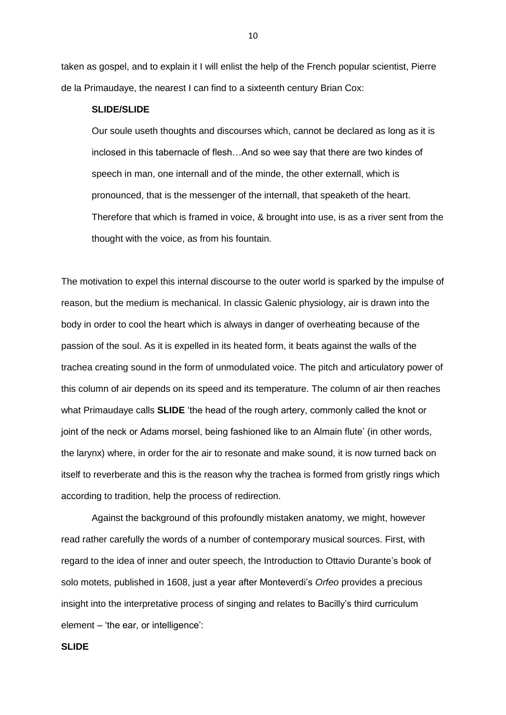taken as gospel, and to explain it I will enlist the help of the French popular scientist, Pierre de la Primaudaye, the nearest I can find to a sixteenth century Brian Cox:

#### **SLIDE/SLIDE**

Our soule useth thoughts and discourses which, cannot be declared as long as it is inclosed in this tabernacle of flesh…And so wee say that there are two kindes of speech in man, one internall and of the minde, the other externall, which is pronounced, that is the messenger of the internall, that speaketh of the heart. Therefore that which is framed in voice, & brought into use, is as a river sent from the thought with the voice, as from his fountain.

The motivation to expel this internal discourse to the outer world is sparked by the impulse of reason, but the medium is mechanical. In classic Galenic physiology, air is drawn into the body in order to cool the heart which is always in danger of overheating because of the passion of the soul. As it is expelled in its heated form, it beats against the walls of the trachea creating sound in the form of unmodulated voice. The pitch and articulatory power of this column of air depends on its speed and its temperature. The column of air then reaches what Primaudaye calls **SLIDE** 'the head of the rough artery, commonly called the knot or joint of the neck or Adams morsel, being fashioned like to an Almain flute' (in other words, the larynx) where, in order for the air to resonate and make sound, it is now turned back on itself to reverberate and this is the reason why the trachea is formed from gristly rings which according to tradition, help the process of redirection.

Against the background of this profoundly mistaken anatomy, we might, however read rather carefully the words of a number of contemporary musical sources. First, with regard to the idea of inner and outer speech, the Introduction to Ottavio Durante's book of solo motets, published in 1608, just a year after Monteverdi's *Orfeo* provides a precious insight into the interpretative process of singing and relates to Bacilly's third curriculum element – 'the ear, or intelligence':

#### **SLIDE**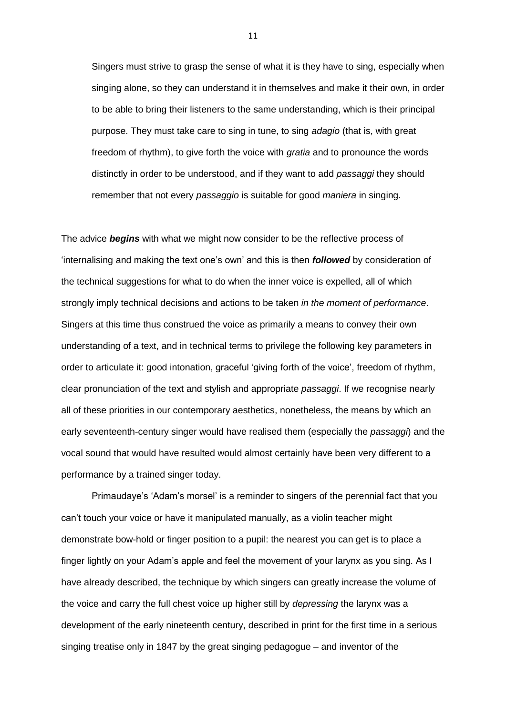Singers must strive to grasp the sense of what it is they have to sing, especially when singing alone, so they can understand it in themselves and make it their own, in order to be able to bring their listeners to the same understanding, which is their principal purpose. They must take care to sing in tune, to sing *adagio* (that is, with great freedom of rhythm), to give forth the voice with *gratia* and to pronounce the words distinctly in order to be understood, and if they want to add *passaggi* they should remember that not every *passaggio* is suitable for good *maniera* in singing.

The advice *begins* with what we might now consider to be the reflective process of 'internalising and making the text one's own' and this is then *followed* by consideration of the technical suggestions for what to do when the inner voice is expelled, all of which strongly imply technical decisions and actions to be taken *in the moment of performance*. Singers at this time thus construed the voice as primarily a means to convey their own understanding of a text, and in technical terms to privilege the following key parameters in order to articulate it: good intonation, graceful 'giving forth of the voice', freedom of rhythm, clear pronunciation of the text and stylish and appropriate *passaggi*. If we recognise nearly all of these priorities in our contemporary aesthetics, nonetheless, the means by which an early seventeenth-century singer would have realised them (especially the *passaggi*) and the vocal sound that would have resulted would almost certainly have been very different to a performance by a trained singer today.

Primaudaye's 'Adam's morsel' is a reminder to singers of the perennial fact that you can't touch your voice or have it manipulated manually, as a violin teacher might demonstrate bow-hold or finger position to a pupil: the nearest you can get is to place a finger lightly on your Adam's apple and feel the movement of your larynx as you sing. As I have already described, the technique by which singers can greatly increase the volume of the voice and carry the full chest voice up higher still by *depressing* the larynx was a development of the early nineteenth century, described in print for the first time in a serious singing treatise only in 1847 by the great singing pedagogue – and inventor of the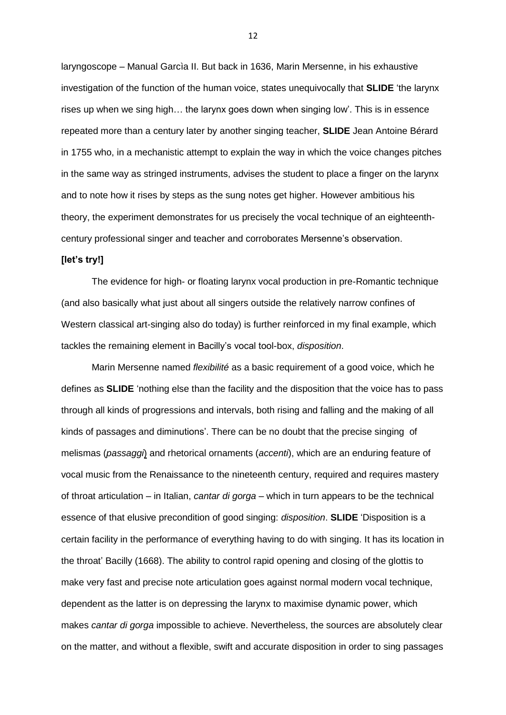laryngoscope – Manual Garcìa II. But back in 1636, Marin Mersenne, in his exhaustive investigation of the function of the human voice, states unequivocally that **SLIDE** 'the larynx rises up when we sing high… the larynx goes down when singing low'. This is in essence repeated more than a century later by another singing teacher, **SLIDE** Jean Antoine Bérard in 1755 who, in a mechanistic attempt to explain the way in which the voice changes pitches in the same way as stringed instruments, advises the student to place a finger on the larynx and to note how it rises by steps as the sung notes get higher. However ambitious his theory, the experiment demonstrates for us precisely the vocal technique of an eighteenthcentury professional singer and teacher and corroborates Mersenne's observation.

#### **[let's try!]**

The evidence for high- or floating larynx vocal production in pre-Romantic technique (and also basically what just about all singers outside the relatively narrow confines of Western classical art-singing also do today) is further reinforced in my final example, which tackles the remaining element in Bacilly's vocal tool-box, *disposition*.

Marin Mersenne named *flexibilité* as a basic requirement of a good voice, which he defines as **SLIDE** 'nothing else than the facility and the disposition that the voice has to pass through all kinds of progressions and intervals, both rising and falling and the making of all kinds of passages and diminutions'. There can be no doubt that the precise singing of melismas (*passaggi*) and rhetorical ornaments (*accenti*), which are an enduring feature of vocal music from the Renaissance to the nineteenth century, required and requires mastery of throat articulation – in Italian, *cantar di gorga* – which in turn appears to be the technical essence of that elusive precondition of good singing: *disposition*. **SLIDE** 'Disposition is a certain facility in the performance of everything having to do with singing. It has its location in the throat' Bacilly (1668). The ability to control rapid opening and closing of the glottis to make very fast and precise note articulation goes against normal modern vocal technique, dependent as the latter is on depressing the larynx to maximise dynamic power, which makes *cantar di gorga* impossible to achieve. Nevertheless, the sources are absolutely clear on the matter, and without a flexible, swift and accurate disposition in order to sing passages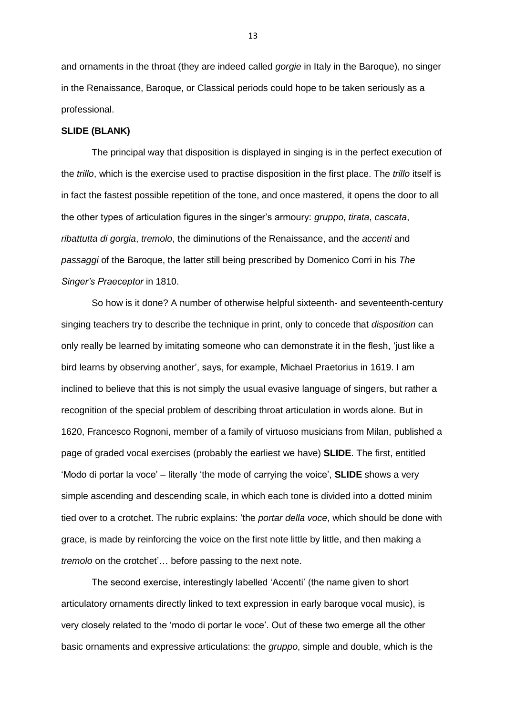and ornaments in the throat (they are indeed called *gorgie* in Italy in the Baroque), no singer in the Renaissance, Baroque, or Classical periods could hope to be taken seriously as a professional.

#### **SLIDE (BLANK)**

The principal way that disposition is displayed in singing is in the perfect execution of the *trillo*, which is the exercise used to practise disposition in the first place. The *trillo* itself is in fact the fastest possible repetition of the tone, and once mastered, it opens the door to all the other types of articulation figures in the singer's armoury: *gruppo*, *tirata*, *cascata*, *ribattutta di gorgia*, *tremolo*, the diminutions of the Renaissance, and the *accenti* and *passaggi* of the Baroque, the latter still being prescribed by Domenico Corri in his *The Singer's Praeceptor* in 1810.

So how is it done? A number of otherwise helpful sixteenth- and seventeenth-century singing teachers try to describe the technique in print, only to concede that *disposition* can only really be learned by imitating someone who can demonstrate it in the flesh, 'just like a bird learns by observing another', says, for example, Michael Praetorius in 1619. I am inclined to believe that this is not simply the usual evasive language of singers, but rather a recognition of the special problem of describing throat articulation in words alone. But in 1620, Francesco Rognoni, member of a family of virtuoso musicians from Milan, published a page of graded vocal exercises (probably the earliest we have) **SLIDE**. The first, entitled 'Modo di portar la voce' – literally 'the mode of carrying the voice', **SLIDE** shows a very simple ascending and descending scale, in which each tone is divided into a dotted minim tied over to a crotchet. The rubric explains: 'the *portar della voce*, which should be done with grace, is made by reinforcing the voice on the first note little by little, and then making a *tremolo* on the crotchet'… before passing to the next note.

The second exercise, interestingly labelled 'Accenti' (the name given to short articulatory ornaments directly linked to text expression in early baroque vocal music), is very closely related to the 'modo di portar le voce'. Out of these two emerge all the other basic ornaments and expressive articulations: the *gruppo*, simple and double, which is the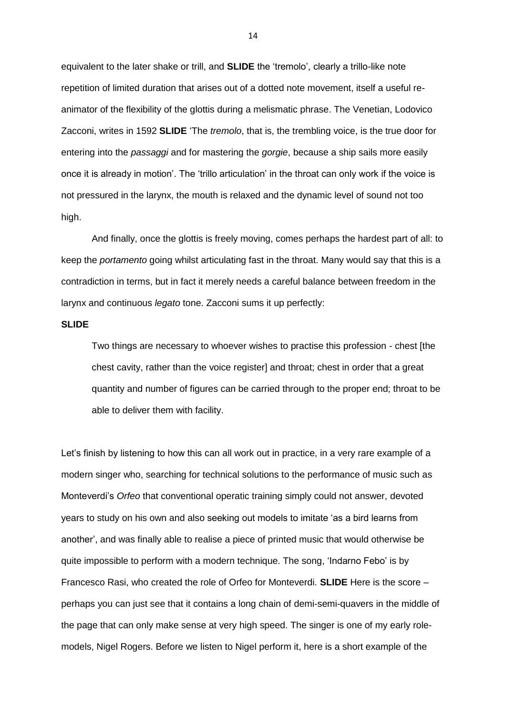equivalent to the later shake or trill, and **SLIDE** the 'tremolo', clearly a trillo-like note repetition of limited duration that arises out of a dotted note movement, itself a useful reanimator of the flexibility of the glottis during a melismatic phrase. The Venetian, Lodovico Zacconi, writes in 1592 **SLIDE** 'The *tremolo*, that is, the trembling voice, is the true door for entering into the *passaggi* and for mastering the *gorgie*, because a ship sails more easily once it is already in motion'. The 'trillo articulation' in the throat can only work if the voice is not pressured in the larynx, the mouth is relaxed and the dynamic level of sound not too high.

And finally, once the glottis is freely moving, comes perhaps the hardest part of all: to keep the *portamento* going whilst articulating fast in the throat. Many would say that this is a contradiction in terms, but in fact it merely needs a careful balance between freedom in the larynx and continuous *legato* tone. Zacconi sums it up perfectly:

#### **SLIDE**

Two things are necessary to whoever wishes to practise this profession - chest [the chest cavity, rather than the voice register] and throat; chest in order that a great quantity and number of figures can be carried through to the proper end; throat to be able to deliver them with facility.

Let's finish by listening to how this can all work out in practice, in a very rare example of a modern singer who, searching for technical solutions to the performance of music such as Monteverdi's *Orfeo* that conventional operatic training simply could not answer, devoted years to study on his own and also seeking out models to imitate 'as a bird learns from another', and was finally able to realise a piece of printed music that would otherwise be quite impossible to perform with a modern technique. The song, 'Indarno Febo' is by Francesco Rasi, who created the role of Orfeo for Monteverdi. **SLIDE** Here is the score – perhaps you can just see that it contains a long chain of demi-semi-quavers in the middle of the page that can only make sense at very high speed. The singer is one of my early rolemodels, Nigel Rogers. Before we listen to Nigel perform it, here is a short example of the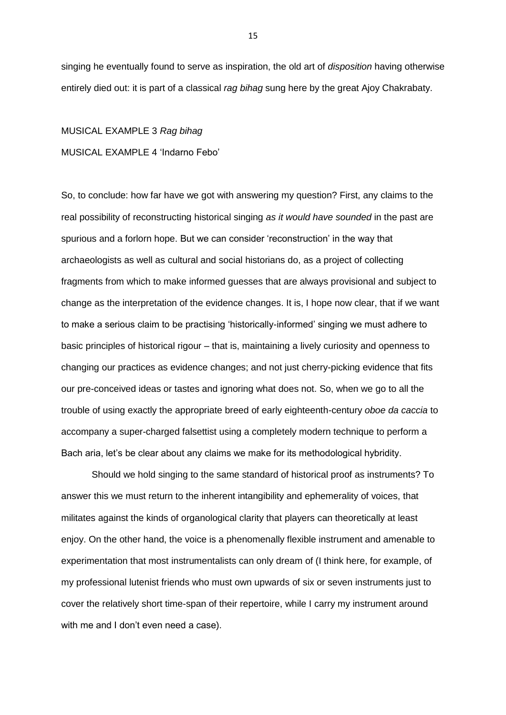singing he eventually found to serve as inspiration, the old art of *disposition* having otherwise entirely died out: it is part of a classical *rag bihag* sung here by the great Ajoy Chakrabaty.

# MUSICAL EXAMPLE 3 *Rag bihag* MUSICAL EXAMPLE 4 'Indarno Febo'

So, to conclude: how far have we got with answering my question? First, any claims to the real possibility of reconstructing historical singing *as it would have sounded* in the past are spurious and a forlorn hope. But we can consider 'reconstruction' in the way that archaeologists as well as cultural and social historians do, as a project of collecting fragments from which to make informed guesses that are always provisional and subject to change as the interpretation of the evidence changes. It is, I hope now clear, that if we want to make a serious claim to be practising 'historically-informed' singing we must adhere to basic principles of historical rigour – that is, maintaining a lively curiosity and openness to changing our practices as evidence changes; and not just cherry-picking evidence that fits our pre-conceived ideas or tastes and ignoring what does not. So, when we go to all the trouble of using exactly the appropriate breed of early eighteenth-century *oboe da caccia* to accompany a super-charged falsettist using a completely modern technique to perform a Bach aria, let's be clear about any claims we make for its methodological hybridity.

Should we hold singing to the same standard of historical proof as instruments? To answer this we must return to the inherent intangibility and ephemerality of voices, that militates against the kinds of organological clarity that players can theoretically at least enjoy. On the other hand, the voice is a phenomenally flexible instrument and amenable to experimentation that most instrumentalists can only dream of (I think here, for example, of my professional lutenist friends who must own upwards of six or seven instruments just to cover the relatively short time-span of their repertoire, while I carry my instrument around with me and I don't even need a case).